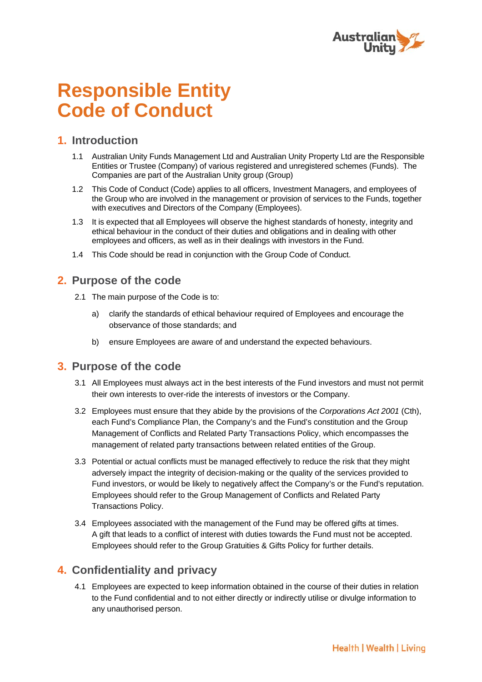

# **Responsible Entity Code of Conduct**

#### **1. Introduction**

- 1.1 Australian Unity Funds Management Ltd and Australian Unity Property Ltd are the Responsible Entities or Trustee (Company) of various registered and unregistered schemes (Funds). The Companies are part of the Australian Unity group (Group)
- 1.2 This Code of Conduct (Code) applies to all officers, Investment Managers, and employees of the Group who are involved in the management or provision of services to the Funds, together with executives and Directors of the Company (Employees).
- 1.3 It is expected that all Employees will observe the highest standards of honesty, integrity and ethical behaviour in the conduct of their duties and obligations and in dealing with other employees and officers, as well as in their dealings with investors in the Fund.
- 1.4 This Code should be read in conjunction with the Group Code of Conduct.

#### **2. Purpose of the code**

- 2.1 The main purpose of the Code is to:
	- a) clarify the standards of ethical behaviour required of Employees and encourage the observance of those standards; and
	- b) ensure Employees are aware of and understand the expected behaviours.

#### **3. Purpose of the code**

- 3.1 All Employees must always act in the best interests of the Fund investors and must not permit their own interests to over-ride the interests of investors or the Company.
- 3.2 Employees must ensure that they abide by the provisions of the *Corporations Act 2001* (Cth), each Fund's Compliance Plan, the Company's and the Fund's constitution and the Group Management of Conflicts and Related Party Transactions Policy, which encompasses the management of related party transactions between related entities of the Group.
- 3.3 Potential or actual conflicts must be managed effectively to reduce the risk that they might adversely impact the integrity of decision‐making or the quality of the services provided to Fund investors, or would be likely to negatively affect the Company's or the Fund's reputation. Employees should refer to the Group Management of Conflicts and Related Party Transactions Policy.
- 3.4 Employees associated with the management of the Fund may be offered gifts at times. A gift that leads to a conflict of interest with duties towards the Fund must not be accepted. Employees should refer to the Group Gratuities & Gifts Policy for further details.

#### **4. Confidentiality and privacy**

4.1 Employees are expected to keep information obtained in the course of their duties in relation to the Fund confidential and to not either directly or indirectly utilise or divulge information to any unauthorised person.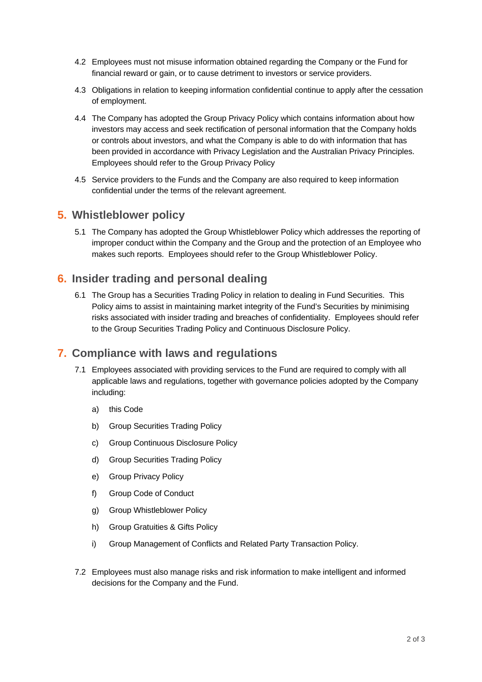- 4.2 Employees must not misuse information obtained regarding the Company or the Fund for financial reward or gain, or to cause detriment to investors or service providers.
- 4.3 Obligations in relation to keeping information confidential continue to apply after the cessation of employment.
- 4.4 The Company has adopted the Group Privacy Policy which contains information about how investors may access and seek rectification of personal information that the Company holds or controls about investors, and what the Company is able to do with information that has been provided in accordance with Privacy Legislation and the Australian Privacy Principles. Employees should refer to the Group Privacy Policy
- 4.5 Service providers to the Funds and the Company are also required to keep information confidential under the terms of the relevant agreement.

#### **5. Whistleblower policy**

5.1 The Company has adopted the Group Whistleblower Policy which addresses the reporting of improper conduct within the Company and the Group and the protection of an Employee who makes such reports. Employees should refer to the Group Whistleblower Policy.

## **6. Insider trading and personal dealing**

6.1 The Group has a Securities Trading Policy in relation to dealing in Fund Securities. This Policy aims to assist in maintaining market integrity of the Fund's Securities by minimising risks associated with insider trading and breaches of confidentiality. Employees should refer to the Group Securities Trading Policy and Continuous Disclosure Policy.

#### **7. Compliance with laws and regulations**

- 7.1 Employees associated with providing services to the Fund are required to comply with all applicable laws and regulations, together with governance policies adopted by the Company including:
	- a) this Code
	- b) Group Securities Trading Policy
	- c) Group Continuous Disclosure Policy
	- d) Group Securities Trading Policy
	- e) Group Privacy Policy
	- f) Group Code of Conduct
	- g) Group Whistleblower Policy
	- h) Group Gratuities & Gifts Policy
	- i) Group Management of Conflicts and Related Party Transaction Policy.
- 7.2 Employees must also manage risks and risk information to make intelligent and informed decisions for the Company and the Fund.